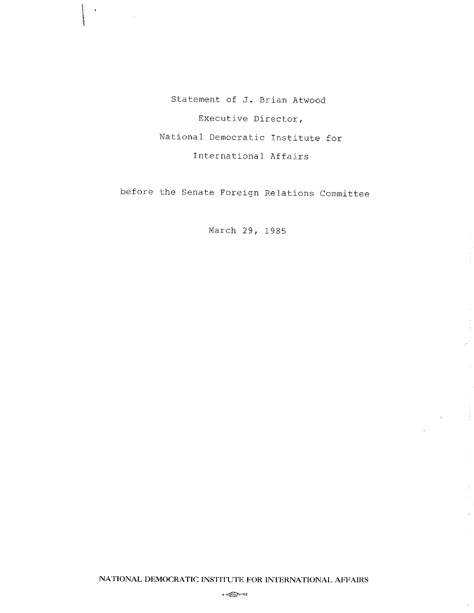Statement of J. Brian Atwood Executive Director, National Democratic Institute for International Affairs

 $\blacksquare$ 

before the Senate Foreign Relations Committee

March 29, 1985

 $\overline{1}$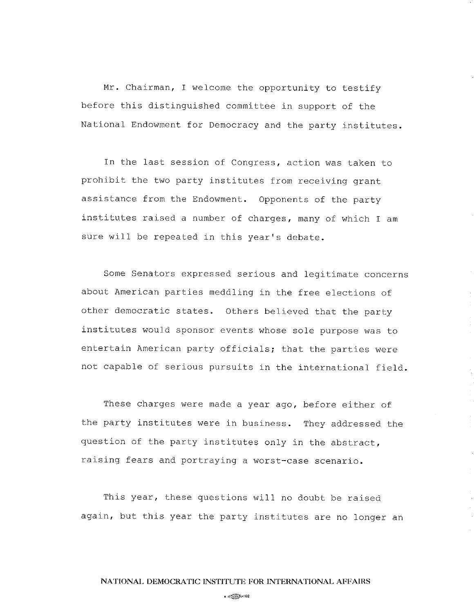Mr. Chairman, I welcome the opportunity to testify before this distinguished committee in support of the National Endowment for Democracy and the party institutes.

In the last session of Congress, action was taken to prohibit the two party institutes from receiving grant assistance from the Endowment. Opponents of the party institutes raised a number of charges, many of which I am sure will be repeated in this year's debate.

some senators expressed serious and legitimate concerns about American parties meddling in the free elections of other democratic states. Others believed that the party institutes would sponsor events whose sole purpose was to entertain American party officials; that the parties were not capable of serious pursuits in the international field.

These charges were made a year  $ago$ , before either of the party institutes were in business. They addressed the question of the party institutes only in the abstract, raising fears and portraying a worst-case scenario.

This year, these questions will no doubt be raised again, but this year the party institutes are no longer an

 $\sim$   $\sqrt{2}$   $\approx$   $102$